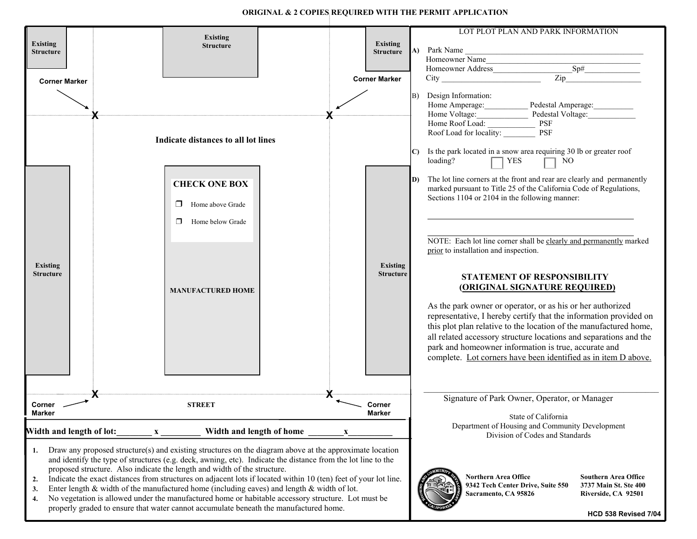**ORIGINAL & 2 COPIES REQUIRED WITH THE PERMIT APPLICATION**